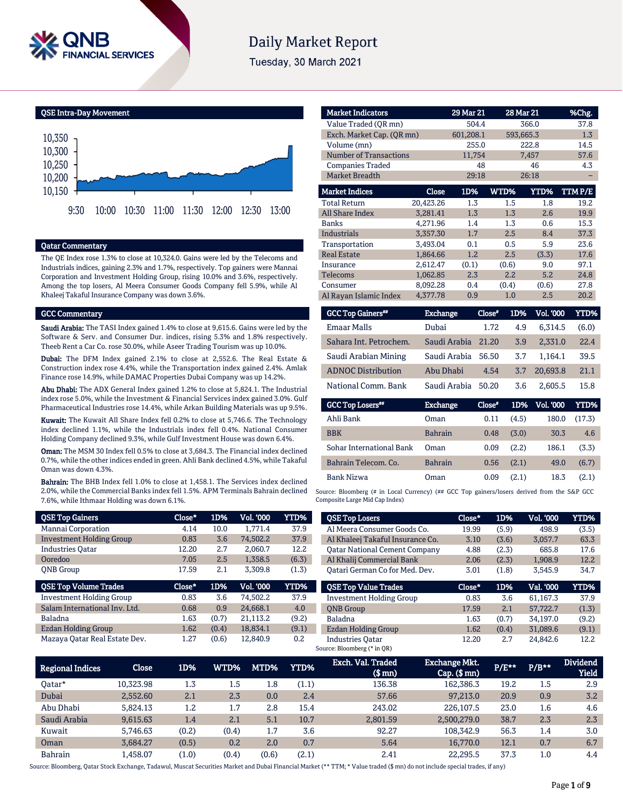

# **Daily Market Report**

Tuesday, 30 March 2021

QSE Intra-Day Movement



### Qatar Commentary

The QE Index rose 1.3% to close at 10,324.0. Gains were led by the Telecoms and Industrials indices, gaining 2.3% and 1.7%, respectively. Top gainers were Mannai Corporation and Investment Holding Group, rising 10.0% and 3.6%, respectively. Among the top losers, Al Meera Consumer Goods Company fell 5.9%, while Al Khaleej Takaful Insurance Company was down 3.6%.

#### GCC Commentary

Saudi Arabia: The TASI Index gained 1.4% to close at 9,615.6. Gains were led by the Software & Serv. and Consumer Dur. indices, rising 5.3% and 1.8% respectively. Theeb Rent a Car Co. rose 30.0%, while Aseer Trading Tourism was up 10.0%.

Dubai: The DFM Index gained 2.1% to close at 2,552.6. The Real Estate & Construction index rose 4.4%, while the Transportation index gained 2.4%. Amlak Finance rose 14.9%, while DAMAC Properties Dubai Company was up 14.2%.

Abu Dhabi: The ADX General Index gained 1.2% to close at 5,824.1. The Industrial index rose 5.0%, while the Investment & Financial Services index gained 3.0%. Gulf Pharmaceutical Industries rose 14.4%, while Arkan Building Materials was up 9.5%.

Kuwait: The Kuwait All Share Index fell 0.2% to close at 5,746.6. The Technology index declined 1.1%, while the Industrials index fell 0.4%. National Consumer Holding Company declined 9.3%, while Gulf Investment House was down 6.4%.

Oman: The MSM 30 Index fell 0.5% to close at 3,684.3. The Financial index declined 0.7%, while the other indices ended in green. Ahli Bank declined 4.5%, while Takaful Oman was down 4.3%.

Bahrain: The BHB Index fell 1.0% to close at 1,458.1. The Services index declined 2.0%, while the Commercial Banks index fell 1.5%. APM Terminals Bahrain declined 7.6%, while Ithmaar Holding was down 6.1%.

| <b>QSE Top Gainers</b>          | Close* | 1D%   | Vol. '000        | <b>YTD%</b> |
|---------------------------------|--------|-------|------------------|-------------|
| Mannai Corporation              | 4.14   | 10.0  | 1.771.4          | 37.9        |
| <b>Investment Holding Group</b> | 0.83   | 3.6   | 74,502.2         | 37.9        |
| <b>Industries Oatar</b>         | 12.20  | 2.7   | 2.060.7          | 12.2        |
| Ooredoo                         | 7.05   | 2.5   | 1.358.5          | (6.3)       |
| <b>ONB</b> Group                | 17.59  | 2.1   | 3.309.8          | (1.3)       |
|                                 |        |       |                  |             |
| <b>QSE Top Volume Trades</b>    | Close* | 1D%   | <b>Vol. '000</b> | YTD%        |
| <b>Investment Holding Group</b> | 0.83   | 3.6   | 74.502.2         | 37.9        |
| Salam International Inv. Ltd.   | 0.68   | 0.9   | 24.668.1         | 4.0         |
| <b>Baladna</b>                  | 1.63   | (0.7) | 21.113.2         | (9.2)       |
| <b>Ezdan Holding Group</b>      | 1.62   | (0.4) | 18.834.1         | (9.1)       |

| <b>Market Indicators</b>      |           | 29 Mar 21 |       | 28 Mar 21 | %Chg.  |  |
|-------------------------------|-----------|-----------|-------|-----------|--------|--|
| Value Traded (OR mn)          |           | 504.4     |       | 366.0     |        |  |
| Exch. Market Cap. (OR mn)     |           | 601,208.1 |       | 593,665.3 | 1.3    |  |
| Volume (mn)                   |           | 255.0     |       | 222.8     | 14.5   |  |
| <b>Number of Transactions</b> |           | 11,754    |       | 7,457     | 57.6   |  |
| <b>Companies Traded</b>       |           | 48        |       | 46        | 4.3    |  |
| <b>Market Breadth</b>         |           | 29:18     |       | 26:18     |        |  |
| <b>Market Indices</b>         | Close     | 1D%       | WTD%  | YTD%      | TTMP/E |  |
| <b>Total Return</b>           | 20,423.26 | 1.3       | 1.5   | 1.8       | 19.2   |  |
| <b>All Share Index</b>        | 3,281.41  | 1.3       | 1.3   | 2.6       | 19.9   |  |
| <b>Banks</b>                  | 4.271.96  | 1.4       | 1.3   | 0.6       | 15.3   |  |
| <b>Industrials</b>            | 3.357.30  | 1.7       | 2.5   | 8.4       | 37.3   |  |
| Transportation                | 3.493.04  | 0.1       | 0.5   | 5.9       | 23.6   |  |
| <b>Real Estate</b>            | 1.864.66  | 1.2       | 2.5   | (3.3)     | 17.6   |  |
| Insurance                     | 2.612.47  | (0.1)     | (0.6) | 9.0       | 97.1   |  |
| <b>Telecoms</b>               | 1,062.85  | 2.3       | 2.2   | 5.2       | 24.8   |  |
| Consumer                      | 8.092.28  | 0.4       | (0.4) | (0.6)     | 27.8   |  |
| Al Rayan Islamic Index        | 4.377.78  | 0.9       | 1.0   | 2.5       | 20.2   |  |

| <b>GCC Top Gainers</b>    | Exchange     | Close" | 1D% | <b>Vol. '000</b> | YTD%  |
|---------------------------|--------------|--------|-----|------------------|-------|
| <b>Emaar Malls</b>        | Dubai        | 1.72   | 4.9 | 6.314.5          | (6.0) |
| Sahara Int. Petrochem.    | Saudi Arabia | 21.20  | 3.9 | 2.331.0          | 22.4  |
| Saudi Arabian Mining      | Saudi Arabia | 56.50  | 3.7 | 1.164.1          | 39.5  |
| <b>ADNOC Distribution</b> | Abu Dhabi    | 4.54   | 3.7 | 20.693.8         | 21.1  |
| National Comm. Bank       | Saudi Arabia | 50.20  | 3.6 | 2.605.5          | 15.8  |

| <b>GCC Top Losers</b>           | <b>Exchange</b> | Close* | 1D%   | <b>Vol. '000</b> | YTD%   |
|---------------------------------|-----------------|--------|-------|------------------|--------|
| Ahli Bank                       | Oman            | 0.11   | (4.5) | 180.0            | (17.3) |
| <b>BBK</b>                      | <b>Bahrain</b>  | 0.48   | (3.0) | 30.3             | 4.6    |
| <b>Sohar International Bank</b> | Oman            | 0.09   | (2.2) | 186.1            | (3.3)  |
| Bahrain Telecom, Co.            | <b>Bahrain</b>  | 0.56   | (2.1) | 49.0             | (6.7)  |
| Bank Nizwa                      | Oman            | 0.09   | (2.1) | 18.3             | (2.1)  |

Source: Bloomberg (# in Local Currency) (## GCC Top gainers/losers derived from the S&P GCC Composite Large Mid Cap Index)

| <b>QSE Top Losers</b>                | Close* | 1D%   | Vol. '000 | YTD%  |
|--------------------------------------|--------|-------|-----------|-------|
| Al Meera Consumer Goods Co.          | 19.99  | (5.9) | 498.9     | (3.5) |
| Al Khaleej Takaful Insurance Co.     | 3.10   | (3.6) | 3.057.7   | 63.3  |
| <b>Qatar National Cement Company</b> | 4.88   | (2.3) | 685.8     | 17.6  |
| Al Khalij Commercial Bank            | 2.06   | (2.3) | 1,908.9   | 12.2  |
| Oatari German Co for Med. Dev.       | 3.01   | (1.8) | 3.545.9   | 34.7  |
|                                      |        |       |           |       |
| <b>OSE Top Value Trades</b>          | Close* | 1D%   | Val. '000 | YTD%  |
| <b>Investment Holding Group</b>      | 0.83   | 3.6   | 61.167.3  | 37.9  |
| <b>ONB</b> Group                     | 17.59  | 2.1   | 57.722.7  | (1.3) |
| Baladna                              | 1.63   | (0.7) | 34.197.0  | (9.2) |
| <b>Ezdan Holding Group</b>           | 1.62   | (0.4) | 31.089.6  | (9.1) |

| <b>Regional Indices</b> | Close     | 1D%     | WTD%  | MTD%  | <b>YTD%</b> | Exch. Val. Traded<br>(\$ mn) | Exchange Mkt.<br>$Cap.$ (\$ mn) | P/E** | $P/B**$ | <b>Dividend</b><br><b>Yield</b> |
|-------------------------|-----------|---------|-------|-------|-------------|------------------------------|---------------------------------|-------|---------|---------------------------------|
| Oatar*                  | 10.323.98 | $1.3\,$ | 1.5   | 1.8   | (1.1)       | 136.38                       | 162,386.3                       | 19.2  | 1.5     | 2.9                             |
| Dubai                   | 2,552.60  | 2.1     | 2.3   | 0.0   | 2.4         | 57.66                        | 97,213.0                        | 20.9  | 0.9     | 3.2                             |
| Abu Dhabi               | 5.824.13  | 1.2     | 1.7   | 2.8   | 15.4        | 243.02                       | 226,107.5                       | 23.0  | 1.6     | 4.6                             |
| Saudi Arabia            | 9,615.63  | 1.4     | 2.1   | 5.1   | 10.7        | 2,801.59                     | 2,500,279.0                     | 38.7  | 2.3     | 2.3                             |
| Kuwait                  | 5.746.63  | (0.2)   | (0.4) | 1.7   | 3.6         | 92.27                        | 108.342.9                       | 56.3  | 1.4     | 3.0                             |
| Oman                    | 3.684.27  | (0.5)   | 0.2   | 2.0   | 0.7         | 5.64                         | 16,770.0                        | 12.1  | 0.7     | 6.7                             |
| <b>Bahrain</b>          | 1,458.07  | (1.0)   | (0.4) | (0.6) | (2.1)       | 2.41                         | 22.295.5                        | 37.3  | $1.0\,$ | 4.4                             |

Source: Bloomberg, Qatar Stock Exchange, Tadawul, Muscat Securities Market and Dubai Financial Market (\*\* TTM; \* Value traded (\$ mn) do not include special trades, if any)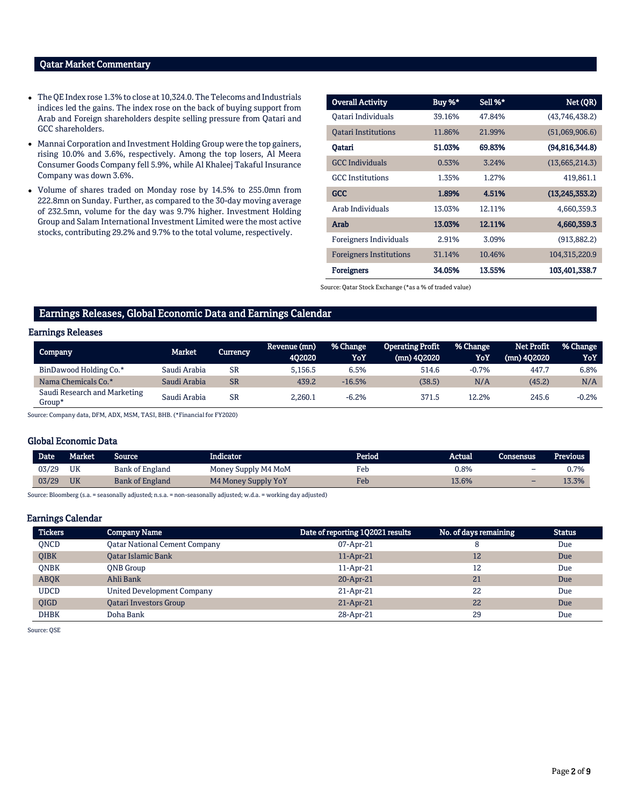# Qatar Market Commentary

- The QE Index rose 1.3% to close at 10,324.0. The Telecoms and Industrials indices led the gains. The index rose on the back of buying support from Arab and Foreign shareholders despite selling pressure from Qatari and GCC shareholders.
- Mannai Corporation and Investment Holding Group were the top gainers, rising 10.0% and 3.6%, respectively. Among the top losers, Al Meera Consumer Goods Company fell 5.9%, while Al Khaleej Takaful Insurance Company was down 3.6%.
- Volume of shares traded on Monday rose by 14.5% to 255.0mn from 222.8mn on Sunday. Further, as compared to the 30-day moving average of 232.5mn, volume for the day was 9.7% higher. Investment Holding Group and Salam International Investment Limited were the most active stocks, contributing 29.2% and 9.7% to the total volume, respectively.

| <b>Overall Activity</b>        | Buy %* | Sell %* | Net (QR)         |
|--------------------------------|--------|---------|------------------|
| Oatari Individuals             | 39.16% | 47.84%  | (43,746,438.2)   |
| <b>Oatari Institutions</b>     | 11.86% | 21.99%  | (51,069,906.6)   |
| Oatari                         | 51.03% | 69.83%  | (94,816,344.8)   |
| <b>GCC</b> Individuals         | 0.53%  | 3.24%   | (13,665,214.3)   |
| <b>GCC</b> Institutions        | 1.35%  | 1.27%   | 419,861.1        |
| <b>GCC</b>                     | 1.89%  | 4.51%   | (13, 245, 353.2) |
| Arab Individuals               | 13.03% | 12.11%  | 4,660,359.3      |
| Arab                           | 13.03% | 12.11%  | 4,660,359.3      |
| Foreigners Individuals         | 2.91%  | 3.09%   | (913, 882.2)     |
| <b>Foreigners Institutions</b> | 31.14% | 10.46%  | 104,315,220.9    |
| <b>Foreigners</b>              | 34.05% | 13.55%  | 103,401,338.7    |

Source: Qatar Stock Exchange (\*as a % of traded value)

# Earnings Releases, Global Economic Data and Earnings Calendar

#### Earnings Releases

| <b>Company</b>                         | Market       | Currency  | Revenue (mn)<br>402020 | % Change<br>YoY | <b>Operating Profit</b><br>$(mn)$ 402020 | % Change<br>YoY | <b>Net Profit</b><br>$(mn)$ 402020 | % Change<br>YoY |
|----------------------------------------|--------------|-----------|------------------------|-----------------|------------------------------------------|-----------------|------------------------------------|-----------------|
| BinDawood Holding Co.*                 | Saudi Arabia | <b>SR</b> | 5.156.5                | 6.5%            | 514.6                                    | $-0.7%$         | 447.7                              | 6.8%            |
| Nama Chemicals Co.*                    | Saudi Arabia | <b>SR</b> | 439.2                  | $-16.5%$        | (38.5)                                   | N/A             | (45.2)                             | N/A             |
| Saudi Research and Marketing<br>Group* | Saudi Arabia | <b>SR</b> | 2,260.1                | $-6.2%$         | 371.5                                    | 12.2%           | 245.6                              | $-0.2%$         |

Source: Company data, DFM, ADX, MSM, TASI, BHB. (\*Financial for FY2020)

### Global Economic Data

| <b>Date</b> | Market'   | Source                 | <b>Indicator</b>    | Period | Actual | Consensus                | <b>Previous</b> |
|-------------|-----------|------------------------|---------------------|--------|--------|--------------------------|-----------------|
| 03/29       | UK        | Bank of England        | Money Supply M4 MoM | Feb    | 0.8%   | $\overline{\phantom{0}}$ | $0.7\%$         |
| 03/29       | <b>UK</b> | <b>Bank of England</b> | M4 Money Supply YoY | Feb    | 13.6%  |                          | 13.3%           |

Source: Bloomberg (s.a. = seasonally adjusted; n.s.a. = non-seasonally adjusted; w.d.a. = working day adjusted)

#### Earnings Calendar

| <b>Tickers</b> | Company Name                         | Date of reporting 1Q2021 results | No. of days remaining | <b>Status</b> |
|----------------|--------------------------------------|----------------------------------|-----------------------|---------------|
| ONCD           | <b>Qatar National Cement Company</b> | 07-Apr-21                        |                       | Due           |
| <b>OIBK</b>    | <b>Oatar Islamic Bank</b>            | 11-Apr-21                        | 12                    | Due           |
| <b>ONBK</b>    | <b>ONB</b> Group                     | 11-Apr-21                        | 12                    | Due           |
| <b>ABOK</b>    | Ahli Bank                            | $20$ -Apr-21                     | 21                    | Due           |
| <b>UDCD</b>    | United Development Company           | 21-Apr-21                        | 22                    | Due           |
| <b>OIGD</b>    | <b>Oatari Investors Group</b>        | $21$ -Apr-21                     | 22                    | Due           |
| <b>DHBK</b>    | Doha Bank                            | 28-Apr-21                        | 29                    | Due           |

Source: QSE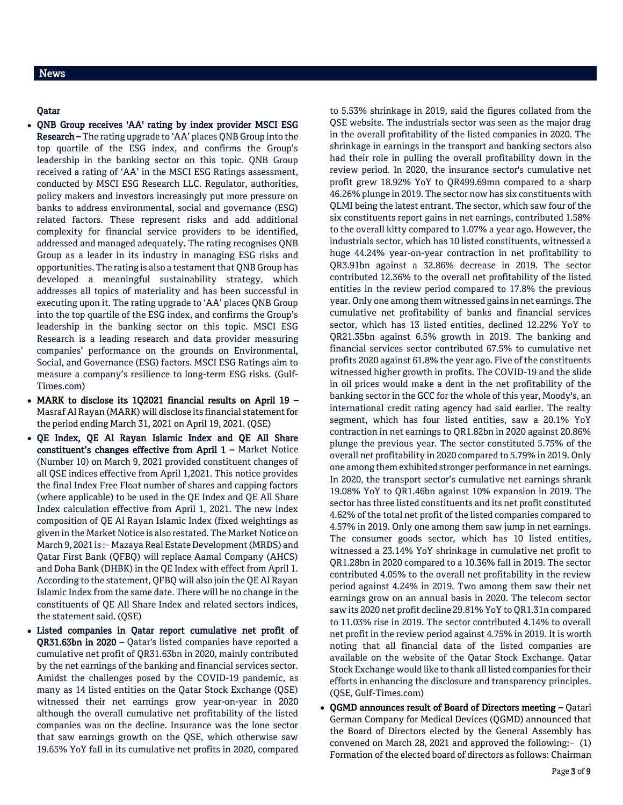# News

### Qatar

- QNB Group receives 'AA' rating by index provider MSCI ESG Research – The rating upgrade to 'AA' places QNB Group into the top quartile of the ESG index, and confirms the Group's leadership in the banking sector on this topic. QNB Group received a rating of 'AA' in the MSCI ESG Ratings assessment, conducted by MSCI ESG Research LLC. Regulator, authorities, policy makers and investors increasingly put more pressure on banks to address environmental, social and governance (ESG) related factors. These represent risks and add additional complexity for financial service providers to be identified, addressed and managed adequately. The rating recognises QNB Group as a leader in its industry in managing ESG risks and opportunities. The rating is also a testament that QNB Group has developed a meaningful sustainability strategy, which addresses all topics of materiality and has been successful in executing upon it. The rating upgrade to 'AA' places QNB Group into the top quartile of the ESG index, and confirms the Group's leadership in the banking sector on this topic. MSCI ESG Research is a leading research and data provider measuring companies' performance on the grounds on Environmental, Social, and Governance (ESG) factors. MSCI ESG Ratings aim to measure a company's resilience to long-term ESG risks. (Gulf-Times.com)
- MARK to disclose its 1Q2021 financial results on April 19 Masraf Al Rayan (MARK) will disclose its financial statement for the period ending March 31, 2021 on April 19, 2021. (QSE)
- QE Index, QE Al Rayan Islamic Index and QE All Share constituent's changes effective from April 1 – Market Notice (Number 10) on March 9, 2021 provided constituent changes of all QSE indices effective from April 1,2021. This notice provides the final Index Free Float number of shares and capping factors (where applicable) to be used in the QE Index and QE All Share Index calculation effective from April 1, 2021. The new index composition of QE Al Rayan Islamic Index (fixed weightings as given in the Market Notice is also restated. The Market Notice on March 9, 2021 is :– Mazaya Real Estate Development (MRDS) and Qatar First Bank (QFBQ) will replace Aamal Company (AHCS) and Doha Bank (DHBK) in the QE Index with effect from April 1. According to the statement, QFBQ will also join the QE Al Rayan Islamic Index from the same date. There will be no change in the constituents of QE All Share Index and related sectors indices, the statement said. (QSE)
- Listed companies in Qatar report cumulative net profit of QR31.63bn in 2020 - Qatar's listed companies have reported a cumulative net profit of QR31.63bn in 2020, mainly contributed by the net earnings of the banking and financial services sector. Amidst the challenges posed by the COVID-19 pandemic, as many as 14 listed entities on the Qatar Stock Exchange (QSE) witnessed their net earnings grow year-on-year in 2020 although the overall cumulative net profitability of the listed companies was on the decline. Insurance was the lone sector that saw earnings growth on the QSE, which otherwise saw 19.65% YoY fall in its cumulative net profits in 2020, compared

to 5.53% shrinkage in 2019, said the figures collated from the QSE website. The industrials sector was seen as the major drag in the overall profitability of the listed companies in 2020. The shrinkage in earnings in the transport and banking sectors also had their role in pulling the overall profitability down in the review period. In 2020, the insurance sector's cumulative net profit grew 18.92% YoY to QR499.69mn compared to a sharp 46.26% plunge in 2019. The sector now has six constituents with QLMI being the latest entrant. The sector, which saw four of the six constituents report gains in net earnings, contributed 1.58% to the overall kitty compared to 1.07% a year ago. However, the industrials sector, which has 10 listed constituents, witnessed a huge 44.24% year-on-year contraction in net profitability to QR3.91bn against a 32.86% decrease in 2019. The sector contributed 12.36% to the overall net profitability of the listed entities in the review period compared to 17.8% the previous year. Only one among them witnessed gains in net earnings. The cumulative net profitability of banks and financial services sector, which has 13 listed entities, declined 12.22% YoY to QR21.35bn against 6.5% growth in 2019. The banking and financial services sector contributed 67.5% to cumulative net profits 2020 against 61.8% the year ago. Five of the constituents witnessed higher growth in profits. The COVID-19 and the slide in oil prices would make a dent in the net profitability of the banking sector in the GCC for the whole of this year, Moody's, an international credit rating agency had said earlier. The realty segment, which has four listed entities, saw a 20.1% YoY contraction in net earnings to QR1.82bn in 2020 against 20.86% plunge the previous year. The sector constituted 5.75% of the overall net profitability in 2020 compared to 5.79% in 2019. Only one among them exhibited stronger performance in net earnings. In 2020, the transport sector's cumulative net earnings shrank 19.08% YoY to QR1.46bn against 10% expansion in 2019. The sector has three listed constituents and its net profit constituted 4.62% of the total net profit of the listed companies compared to 4.57% in 2019. Only one among them saw jump in net earnings. The consumer goods sector, which has 10 listed entities, witnessed a 23.14% YoY shrinkage in cumulative net profit to QR1.28bn in 2020 compared to a 10.36% fall in 2019. The sector contributed 4.05% to the overall net profitability in the review period against 4.24% in 2019. Two among them saw their net earnings grow on an annual basis in 2020. The telecom sector saw its 2020 net profit decline 29.81% YoY to QR1.31n compared to 11.03% rise in 2019. The sector contributed 4.14% to overall net profit in the review period against 4.75% in 2019. It is worth noting that all financial data of the listed companies are available on the website of the Qatar Stock Exchange. Qatar Stock Exchange would like to thank all listed companies for their efforts in enhancing the disclosure and transparency principles. (QSE, Gulf-Times.com)

 QGMD announces result of Board of Directors meeting – Qatari German Company for Medical Devices (QGMD) announced that the Board of Directors elected by the General Assembly has convened on March 28, 2021 and approved the following:– (1) Formation of the elected board of directors as follows: Chairman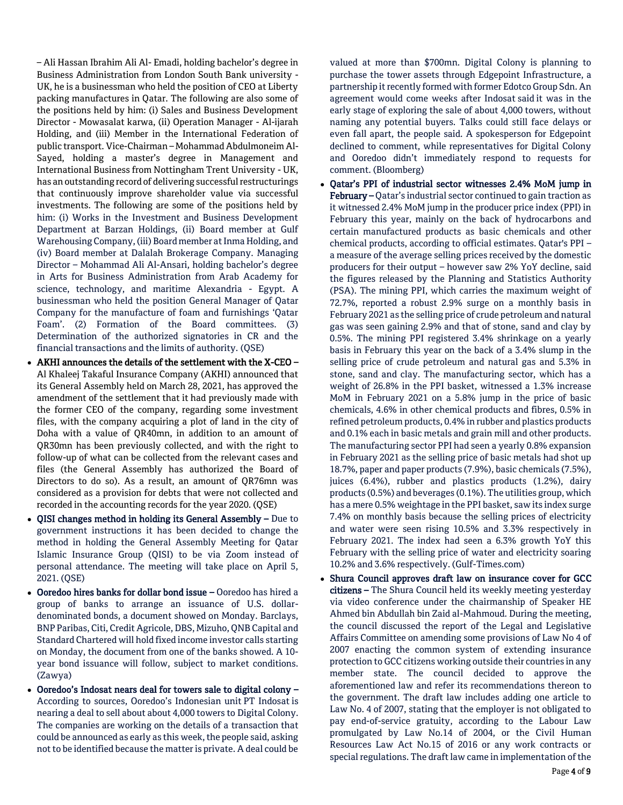– Ali Hassan Ibrahim Ali Al- Emadi, holding bachelor's degree in Business Administration from London South Bank university - UK, he is a businessman who held the position of CEO at Liberty packing manufactures in Qatar. The following are also some of the positions held by him: (i) Sales and Business Development Director - Mowasalat karwa, (ii) Operation Manager - Al-ijarah Holding, and (iii) Member in the International Federation of public transport. Vice-Chairman – Mohammad Abdulmoneim Al-Sayed, holding a master's degree in Management and International Business from Nottingham Trent University - UK, has an outstanding record of delivering successful restructurings that continuously improve shareholder value via successful investments. The following are some of the positions held by him: (i) Works in the Investment and Business Development Department at Barzan Holdings, (ii) Board member at Gulf Warehousing Company, (iii) Board member at Inma Holding, and (iv) Board member at Dalalah Brokerage Company. Managing Director – Mohammad Ali Al-Ansari, holding bachelor's degree in Arts for Business Administration from Arab Academy for science, technology, and maritime Alexandria - Egypt. A businessman who held the position General Manager of Qatar Company for the manufacture of foam and furnishings 'Qatar Foam'. (2) Formation of the Board committees. (3) Determination of the authorized signatories in CR and the financial transactions and the limits of authority. (QSE)

- AKHI announces the details of the settlement with the X-CEO Al Khaleej Takaful Insurance Company (AKHI) announced that its General Assembly held on March 28, 2021, has approved the amendment of the settlement that it had previously made with the former CEO of the company, regarding some investment files, with the company acquiring a plot of land in the city of Doha with a value of QR40mn, in addition to an amount of QR30mn has been previously collected, and with the right to follow-up of what can be collected from the relevant cases and files (the General Assembly has authorized the Board of Directors to do so). As a result, an amount of QR76mn was considered as a provision for debts that were not collected and recorded in the accounting records for the year 2020. (QSE)
- QISI changes method in holding its General Assembly Due to government instructions it has been decided to change the method in holding the General Assembly Meeting for Qatar Islamic Insurance Group (QISI) to be via Zoom instead of personal attendance. The meeting will take place on April 5, 2021. (QSE)
- Ooredoo hires banks for dollar bond issue Ooredoo has hired a group of banks to arrange an issuance of U.S. dollardenominated bonds, a document showed on Monday. Barclays, BNP Paribas, Citi, Credit Agricole, DBS, Mizuho, QNB Capital and Standard Chartered will hold fixed income investor calls starting on Monday, the document from one of the banks showed. A 10 year bond issuance will follow, subject to market conditions. (Zawya)
- Ooredoo's Indosat nears deal for towers sale to digital colony According to sources, Ooredoo's Indonesian unit PT Indosat is nearing a deal to sell about about 4,000 towers to Digital Colony. The companies are working on the details of a transaction that could be announced as early as this week, the people said, asking not to be identified because the matter is private. A deal could be

valued at more than \$700mn. Digital Colony is planning to purchase the tower assets through Edgepoint Infrastructure, a partnership it recently formed with former Edotco Group Sdn. An agreement would come weeks after Indosat said it was in the early stage of exploring the sale of about 4,000 towers, without naming any potential buyers. Talks could still face delays or even fall apart, the people said. A spokesperson for Edgepoint declined to comment, while representatives for Digital Colony and Ooredoo didn't immediately respond to requests for comment. (Bloomberg)

- Qatar's PPI of industrial sector witnesses 2.4% MoM jump in February – Qatar's industrial sector continued to gain traction as it witnessed 2.4% MoM jump in the producer price index (PPI) in February this year, mainly on the back of hydrocarbons and certain manufactured products as basic chemicals and other chemical products, according to official estimates. Qatar's PPI – a measure of the average selling prices received by the domestic producers for their output – however saw 2% YoY decline, said the figures released by the Planning and Statistics Authority (PSA). The mining PPI, which carries the maximum weight of 72.7%, reported a robust 2.9% surge on a monthly basis in February 2021 as the selling price of crude petroleum and natural gas was seen gaining 2.9% and that of stone, sand and clay by 0.5%. The mining PPI registered 3.4% shrinkage on a yearly basis in February this year on the back of a 3.4% slump in the selling price of crude petroleum and natural gas and 5.3% in stone, sand and clay. The manufacturing sector, which has a weight of 26.8% in the PPI basket, witnessed a 1.3% increase MoM in February 2021 on a 5.8% jump in the price of basic chemicals, 4.6% in other chemical products and fibres, 0.5% in refined petroleum products, 0.4% in rubber and plastics products and 0.1% each in basic metals and grain mill and other products. The manufacturing sector PPI had seen a yearly 0.8% expansion in February 2021 as the selling price of basic metals had shot up 18.7%, paper and paper products (7.9%), basic chemicals (7.5%), juices (6.4%), rubber and plastics products (1.2%), dairy products (0.5%) and beverages (0.1%). The utilities group, which has a mere 0.5% weightage in the PPI basket, saw its index surge 7.4% on monthly basis because the selling prices of electricity and water were seen rising 10.5% and 3.3% respectively in February 2021. The index had seen a 6.3% growth YoY this February with the selling price of water and electricity soaring 10.2% and 3.6% respectively. (Gulf-Times.com)
- Shura Council approves draft law on insurance cover for GCC citizens – The Shura Council held its weekly meeting yesterday via video conference under the chairmanship of Speaker HE Ahmed bin Abdullah bin Zaid al-Mahmoud. During the meeting, the council discussed the report of the Legal and Legislative Affairs Committee on amending some provisions of Law No 4 of 2007 enacting the common system of extending insurance protection to GCC citizens working outside their countries in any member state. The council decided to approve the aforementioned law and refer its recommendations thereon to the government. The draft law includes adding one article to Law No. 4 of 2007, stating that the employer is not obligated to pay end-of-service gratuity, according to the Labour Law promulgated by Law No.14 of 2004, or the Civil Human Resources Law Act No.15 of 2016 or any work contracts or special regulations. The draft law came in implementation of the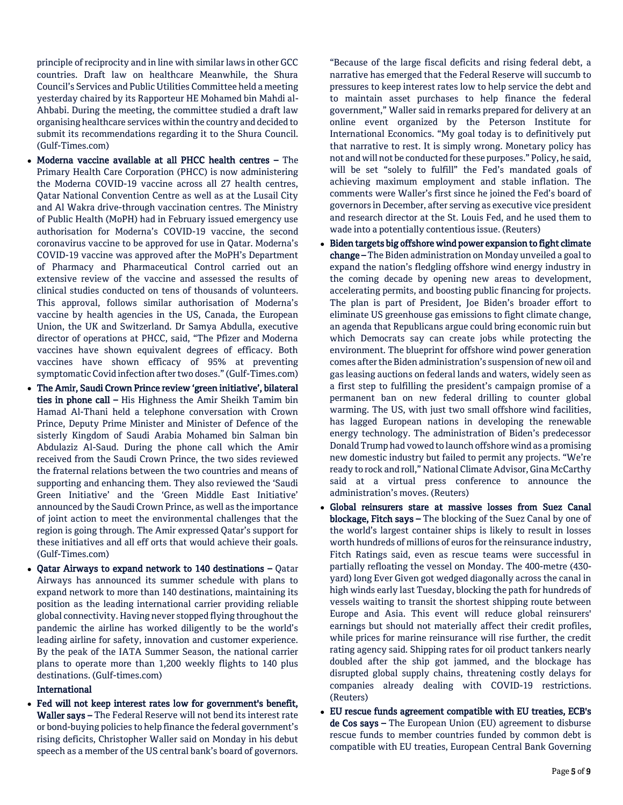principle of reciprocity and in line with similar laws in other GCC countries. Draft law on healthcare Meanwhile, the Shura Council's Services and Public Utilities Committee held a meeting yesterday chaired by its Rapporteur HE Mohamed bin Mahdi al-Ahbabi. During the meeting, the committee studied a draft law organising healthcare services within the country and decided to submit its recommendations regarding it to the Shura Council. (Gulf-Times.com)

- Moderna vaccine available at all PHCC health centres The Primary Health Care Corporation (PHCC) is now administering the Moderna COVID-19 vaccine across all 27 health centres, Qatar National Convention Centre as well as at the Lusail City and Al Wakra drive-through vaccination centres. The Ministry of Public Health (MoPH) had in February issued emergency use authorisation for Moderna's COVID-19 vaccine, the second coronavirus vaccine to be approved for use in Qatar. Moderna's COVID-19 vaccine was approved after the MoPH's Department of Pharmacy and Pharmaceutical Control carried out an extensive review of the vaccine and assessed the results of clinical studies conducted on tens of thousands of volunteers. This approval, follows similar authorisation of Moderna's vaccine by health agencies in the US, Canada, the European Union, the UK and Switzerland. Dr Samya Abdulla, executive director of operations at PHCC, said, "The Pfizer and Moderna vaccines have shown equivalent degrees of efficacy. Both vaccines have shown efficacy of 95% at preventing symptomatic Covid infection after two doses." (Gulf-Times.com)
- The Amir, Saudi Crown Prince review 'green initiative', bilateral ties in phone call – His Highness the Amir Sheikh Tamim bin Hamad Al-Thani held a telephone conversation with Crown Prince, Deputy Prime Minister and Minister of Defence of the sisterly Kingdom of Saudi Arabia Mohamed bin Salman bin Abdulaziz Al-Saud. During the phone call which the Amir received from the Saudi Crown Prince, the two sides reviewed the fraternal relations between the two countries and means of supporting and enhancing them. They also reviewed the 'Saudi Green Initiative' and the 'Green Middle East Initiative' announced by the Saudi Crown Prince, as well as the importance of joint action to meet the environmental challenges that the region is going through. The Amir expressed Qatar's support for these initiatives and all eff orts that would achieve their goals. (Gulf-Times.com)
- Qatar Airways to expand network to 140 destinations Qatar Airways has announced its summer schedule with plans to expand network to more than 140 destinations, maintaining its position as the leading international carrier providing reliable global connectivity. Having never stopped flying throughout the pandemic the airline has worked diligently to be the world's leading airline for safety, innovation and customer experience. By the peak of the IATA Summer Season, the national carrier plans to operate more than 1,200 weekly flights to 140 plus destinations. (Gulf-times.com)

#### International

 Fed will not keep interest rates low for government's benefit, Waller says – The Federal Reserve will not bend its interest rate or bond-buying policies to help finance the federal government's rising deficits, Christopher Waller said on Monday in his debut speech as a member of the US central bank's board of governors.

"Because of the large fiscal deficits and rising federal debt, a narrative has emerged that the Federal Reserve will succumb to pressures to keep interest rates low to help service the debt and to maintain asset purchases to help finance the federal government," Waller said in remarks prepared for delivery at an online event organized by the Peterson Institute for International Economics. "My goal today is to definitively put that narrative to rest. It is simply wrong. Monetary policy has not and will not be conducted for these purposes." Policy, he said, will be set "solely to fulfill" the Fed's mandated goals of achieving maximum employment and stable inflation. The comments were Waller's first since he joined the Fed's board of governors in December, after serving as executive vice president and research director at the St. Louis Fed, and he used them to wade into a potentially contentious issue. (Reuters)

- Biden targets big offshore wind power expansion to fight climate change – The Biden administration on Monday unveiled a goal to expand the nation's fledgling offshore wind energy industry in the coming decade by opening new areas to development, accelerating permits, and boosting public financing for projects. The plan is part of President, Joe Biden's broader effort to eliminate US greenhouse gas emissions to fight climate change, an agenda that Republicans argue could bring economic ruin but which Democrats say can create jobs while protecting the environment. The blueprint for offshore wind power generation comes after the Biden administration's suspension of new oil and gas leasing auctions on federal lands and waters, widely seen as a first step to fulfilling the president's campaign promise of a permanent ban on new federal drilling to counter global warming. The US, with just two small offshore wind facilities, has lagged European nations in developing the renewable energy technology. The administration of Biden's predecessor Donald Trump had vowed to launch offshore wind as a promising new domestic industry but failed to permit any projects. "We're ready to rock and roll," National Climate Advisor, Gina McCarthy said at a virtual press conference to announce the administration's moves. (Reuters)
- Global reinsurers stare at massive losses from Suez Canal blockage, Fitch says - The blocking of the Suez Canal by one of the world's largest container ships is likely to result in losses worth hundreds of millions of euros for the reinsurance industry, Fitch Ratings said, even as rescue teams were successful in partially refloating the vessel on Monday. The 400-metre (430 yard) long Ever Given got wedged diagonally across the canal in high winds early last Tuesday, blocking the path for hundreds of vessels waiting to transit the shortest shipping route between Europe and Asia. This event will reduce global reinsurers' earnings but should not materially affect their credit profiles, while prices for marine reinsurance will rise further, the credit rating agency said. Shipping rates for oil product tankers nearly doubled after the ship got jammed, and the blockage has disrupted global supply chains, threatening costly delays for companies already dealing with COVID-19 restrictions. (Reuters)
- EU rescue funds agreement compatible with EU treaties, ECB's de Cos says – The European Union (EU) agreement to disburse rescue funds to member countries funded by common debt is compatible with EU treaties, European Central Bank Governing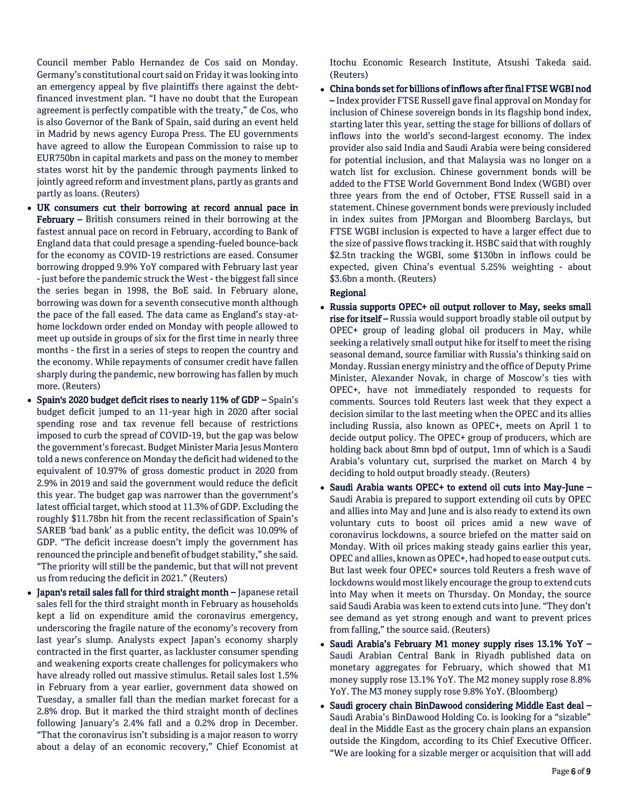Council member Pablo Hernandez de Cos said on Monday. Germany's constitutional court said on Friday it was looking into an emergency appeal by five plaintiffs there against the debtfinanced investment plan. "I have no doubt that the European agreement is perfectly compatible with the treaty," de Cos, who is also Governor of the Bank of Spain, said during an event held in Madrid by news agency Europa Press. The EU governments have agreed to allow the European Commission to raise up to EUR750bn in capital markets and pass on the money to member states worst hit by the pandemic through payments linked to jointly agreed reform and investment plans, partly as grants and partly as loans. (Reuters)

- UK consumers cut their borrowing at record annual pace in February – British consumers reined in their borrowing at the fastest annual pace on record in February, according to Bank of England data that could presage a spending-fueled bounce-back for the economy as COVID-19 restrictions are eased. Consumer borrowing dropped 9.9% YoY compared with February last year - just before the pandemic struck the West -the biggest fall since the series began in 1998, the BoE said. In February alone, borrowing was down for a seventh consecutive month although the pace of the fall eased. The data came as England's stay-athome lockdown order ended on Monday with people allowed to meet up outside in groups of six for the first time in nearly three months - the first in a series of steps to reopen the country and the economy. While repayments of consumer credit have fallen sharply during the pandemic, new borrowing has fallen by much more. (Reuters)
- Spain's 2020 budget deficit rises to nearly 11% of GDP Spain's budget deficit jumped to an 11-year high in 2020 after social spending rose and tax revenue fell because of restrictions imposed to curb the spread of COVID-19, but the gap was below the government's forecast. Budget Minister Maria Jesus Montero told a news conference on Monday the deficit had widened to the equivalent of 10.97% of gross domestic product in 2020 from 2.9% in 2019 and said the government would reduce the deficit this year. The budget gap was narrower than the government's latest official target, which stood at 11.3% of GDP. Excluding the roughly \$11.78bn hit from the recent reclassification of Spain's SAREB 'bad bank' as a public entity, the deficit was 10.09% of GDP. "The deficit increase doesn't imply the government has renounced the principle and benefit of budget stability," she said. "The priority will still be the pandemic, but that will not prevent us from reducing the deficit in 2021." (Reuters)
- Japan's retail sales fall for third straight month Japanese retail sales fell for the third straight month in February as households kept a lid on expenditure amid the coronavirus emergency, underscoring the fragile nature of the economy's recovery from last year's slump. Analysts expect Japan's economy sharply contracted in the first quarter, as lackluster consumer spending and weakening exports create challenges for policymakers who have already rolled out massive stimulus. Retail sales lost 1.5% in February from a year earlier, government data showed on Tuesday, a smaller fall than the median market forecast for a 2.8% drop. But it marked the third straight month of declines following January's 2.4% fall and a 0.2% drop in December. "That the coronavirus isn't subsiding is a major reason to worry about a delay of an economic recovery," Chief Economist at

Itochu Economic Research Institute, Atsushi Takeda said. (Reuters)

 China bonds set for billions of inflows after final FTSE WGBI nod – Index provider FTSE Russell gave final approval on Monday for inclusion of Chinese sovereign bonds in its flagship bond index, starting later this year, setting the stage for billions of dollars of inflows into the world's second-largest economy. The index provider also said India and Saudi Arabia were being considered for potential inclusion, and that Malaysia was no longer on a watch list for exclusion. Chinese government bonds will be added to the FTSE World Government Bond Index (WGBI) over three years from the end of October, FTSE Russell said in a statement. Chinese government bonds were previously included in index suites from JPMorgan and Bloomberg Barclays, but FTSE WGBI inclusion is expected to have a larger effect due to the size of passive flows tracking it. HSBC said that with roughly \$2.5tn tracking the WGBI, some \$130bn in inflows could be expected, given China's eventual 5.25% weighting - about \$3.6bn a month. (Reuters)

# Regional

- Russia supports OPEC+ oil output rollover to May, seeks small rise for itself – Russia would support broadly stable oil output by OPEC+ group of leading global oil producers in May, while seeking a relatively small output hike for itself to meet the rising seasonal demand, source familiar with Russia's thinking said on Monday. Russian energy ministry and the office of Deputy Prime Minister, Alexander Novak, in charge of Moscow's ties with OPEC+, have not immediately responded to requests for comments. Sources told Reuters last week that they expect a decision similar to the last meeting when the OPEC and its allies including Russia, also known as OPEC+, meets on April 1 to decide output policy. The OPEC+ group of producers, which are holding back about 8mn bpd of output, 1mn of which is a Saudi Arabia's voluntary cut, surprised the market on March 4 by deciding to hold output broadly steady. (Reuters)
- Saudi Arabia wants OPEC+ to extend oil cuts into May-June Saudi Arabia is prepared to support extending oil cuts by OPEC and allies into May and June and is also ready to extend its own voluntary cuts to boost oil prices amid a new wave of coronavirus lockdowns, a source briefed on the matter said on Monday. With oil prices making steady gains earlier this year, OPEC and allies, known as OPEC+, had hoped to ease output cuts. But last week four OPEC+ sources told Reuters a fresh wave of lockdowns would most likely encourage the group to extend cuts into May when it meets on Thursday. On Monday, the source said Saudi Arabia was keen to extend cuts into June. "They don't see demand as yet strong enough and want to prevent prices from falling," the source said. (Reuters)
- Saudi Arabia's February M1 money supply rises 13.1% YoY Saudi Arabian Central Bank in Riyadh published data on monetary aggregates for February, which showed that M1 money supply rose 13.1% YoY. The M2 money supply rose 8.8% YoY. The M3 money supply rose 9.8% YoY. (Bloomberg)
- Saudi grocery chain BinDawood considering Middle East deal Saudi Arabia's BinDawood Holding Co. is looking for a "sizable" deal in the Middle East as the grocery chain plans an expansion outside the Kingdom, according to its Chief Executive Officer. "We are looking for a sizable merger or acquisition that will add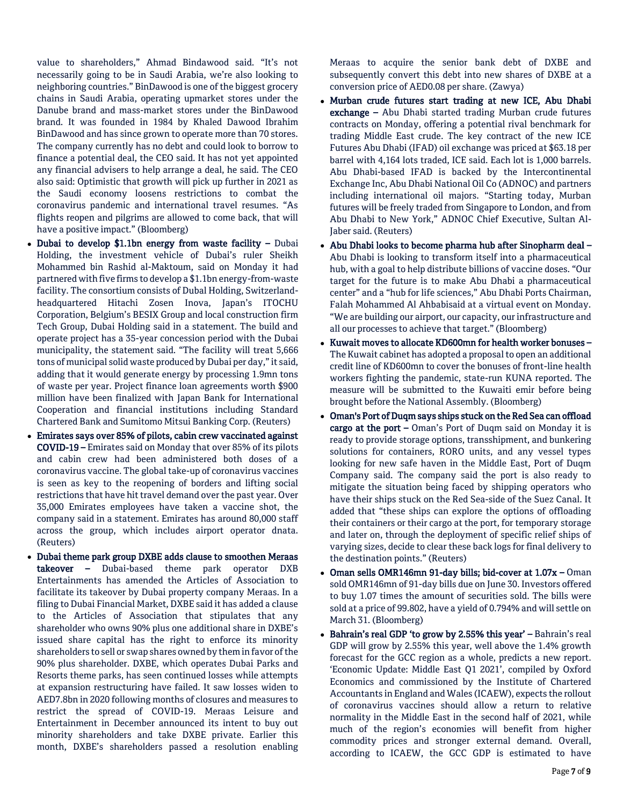value to shareholders," Ahmad Bindawood said. "It's not necessarily going to be in Saudi Arabia, we're also looking to neighboring countries." BinDawood is one of the biggest grocery chains in Saudi Arabia, operating upmarket stores under the Danube brand and mass-market stores under the BinDawood brand. It was founded in 1984 by Khaled Dawood Ibrahim BinDawood and has since grown to operate more than 70 stores. The company currently has no debt and could look to borrow to finance a potential deal, the CEO said. It has not yet appointed any financial advisers to help arrange a deal, he said. The CEO also said: Optimistic that growth will pick up further in 2021 as the Saudi economy loosens restrictions to combat the coronavirus pandemic and international travel resumes. "As flights reopen and pilgrims are allowed to come back, that will have a positive impact." (Bloomberg)

- Dubai to develop \$1.1bn energy from waste facility Dubai Holding, the investment vehicle of Dubai's ruler Sheikh Mohammed bin Rashid al-Maktoum, said on Monday it had partnered with five firms to develop a \$1.1bn energy-from-waste facility. The consortium consists of Dubal Holding, Switzerlandheadquartered Hitachi Zosen Inova, Japan's ITOCHU Corporation, Belgium's BESIX Group and local construction firm Tech Group, Dubai Holding said in a statement. The build and operate project has a 35-year concession period with the Dubai municipality, the statement said. "The facility will treat 5,666 tons of municipal solid waste produced by Dubai per day," it said, adding that it would generate energy by processing 1.9mn tons of waste per year. Project finance loan agreements worth \$900 million have been finalized with Japan Bank for International Cooperation and financial institutions including Standard Chartered Bank and Sumitomo Mitsui Banking Corp. (Reuters)
- Emirates says over 85% of pilots, cabin crew vaccinated against COVID-19 – Emirates said on Monday that over 85% of its pilots and cabin crew had been administered both doses of a coronavirus vaccine. The global take-up of coronavirus vaccines is seen as key to the reopening of borders and lifting social restrictions that have hit travel demand over the past year. Over 35,000 Emirates employees have taken a vaccine shot, the company said in a statement. Emirates has around 80,000 staff across the group, which includes airport operator dnata. (Reuters)
- Dubai theme park group DXBE adds clause to smoothen Meraas takeover – Dubai-based theme park operator DXB Entertainments has amended the Articles of Association to facilitate its takeover by Dubai property company Meraas. In a filing to Dubai Financial Market, DXBE said it has added a clause to the Articles of Association that stipulates that any shareholder who owns 90% plus one additional share in DXBE's issued share capital has the right to enforce its minority shareholders to sell or swap shares owned by them in favor of the 90% plus shareholder. DXBE, which operates Dubai Parks and Resorts theme parks, has seen continued losses while attempts at expansion restructuring have failed. It saw losses widen to AED7.8bn in 2020 following months of closures and measures to restrict the spread of COVID-19. Meraas Leisure and Entertainment in December announced its intent to buy out minority shareholders and take DXBE private. Earlier this month, DXBE's shareholders passed a resolution enabling

Meraas to acquire the senior bank debt of DXBE and subsequently convert this debt into new shares of DXBE at a conversion price of AED0.08 per share. (Zawya)

- Murban crude futures start trading at new ICE, Abu Dhabi exchange – Abu Dhabi started trading Murban crude futures contracts on Monday, offering a potential rival benchmark for trading Middle East crude. The key contract of the new ICE Futures Abu Dhabi (IFAD) oil exchange was priced at \$63.18 per barrel with 4,164 lots traded, ICE said. Each lot is 1,000 barrels. Abu Dhabi-based IFAD is backed by the Intercontinental Exchange Inc, Abu Dhabi National Oil Co (ADNOC) and partners including international oil majors. "Starting today, Murban futures will be freely traded from Singapore to London, and from Abu Dhabi to New York," ADNOC Chief Executive, Sultan Al-Jaber said. (Reuters)
- Abu Dhabi looks to become pharma hub after Sinopharm deal Abu Dhabi is looking to transform itself into a pharmaceutical hub, with a goal to help distribute billions of vaccine doses. "Our target for the future is to make Abu Dhabi a pharmaceutical center" and a "hub for life sciences," Abu Dhabi Ports Chairman, Falah Mohammed Al Ahbabisaid at a virtual event on Monday. "We are building our airport, our capacity, our infrastructure and all our processes to achieve that target." (Bloomberg)
- Kuwait moves to allocate KD600mn for health worker bonuses The Kuwait cabinet has adopted a proposal to open an additional credit line of KD600mn to cover the bonuses of front-line health workers fighting the pandemic, state-run KUNA reported. The measure will be submitted to the Kuwaiti emir before being brought before the National Assembly. (Bloomberg)
- Oman's Port of Duqm says ships stuck on the Red Sea can offload cargo at the port – Oman's Port of Duqm said on Monday it is ready to provide storage options, transshipment, and bunkering solutions for containers, RORO units, and any vessel types looking for new safe haven in the Middle East, Port of Duqm Company said. The company said the port is also ready to mitigate the situation being faced by shipping operators who have their ships stuck on the Red Sea-side of the Suez Canal. It added that "these ships can explore the options of offloading their containers or their cargo at the port, for temporary storage and later on, through the deployment of specific relief ships of varying sizes, decide to clear these back logs for final delivery to the destination points." (Reuters)
- Oman sells OMR146mn 91-day bills; bid-cover at 1.07x Oman sold OMR146mn of 91-day bills due on June 30. Investors offered to buy 1.07 times the amount of securities sold. The bills were sold at a price of 99.802, have a yield of 0.794% and will settle on March 31. (Bloomberg)
- Bahrain's real GDP 'to grow by 2.55% this year' Bahrain's real GDP will grow by 2.55% this year, well above the 1.4% growth forecast for the GCC region as a whole, predicts a new report. 'Economic Update: Middle East Q1 2021', compiled by Oxford Economics and commissioned by the Institute of Chartered Accountants in England and Wales (ICAEW), expects the rollout of coronavirus vaccines should allow a return to relative normality in the Middle East in the second half of 2021, while much of the region's economies will benefit from higher commodity prices and stronger external demand. Overall, according to ICAEW, the GCC GDP is estimated to have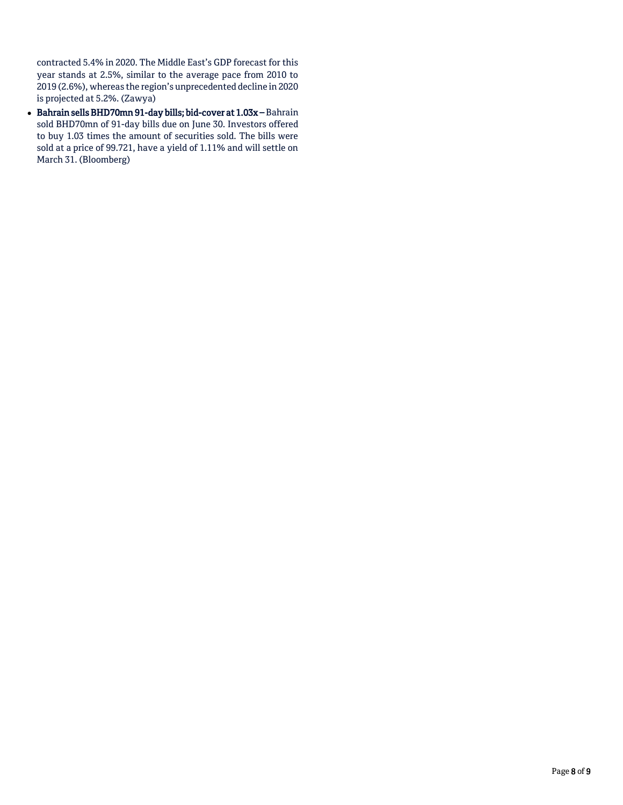contracted 5.4% in 2020. The Middle East's GDP forecast for this year stands at 2.5%, similar to the average pace from 2010 to 2019 (2.6%), whereas the region's unprecedented decline in 2020 is projected at 5.2%. (Zawya)

 Bahrain sells BHD70mn 91-day bills; bid-cover at 1.03x – Bahrain sold BHD70mn of 91-day bills due on June 30. Investors offered to buy 1.03 times the amount of securities sold. The bills were sold at a price of 99.721, have a yield of 1.11% and will settle on March 31. (Bloomberg)